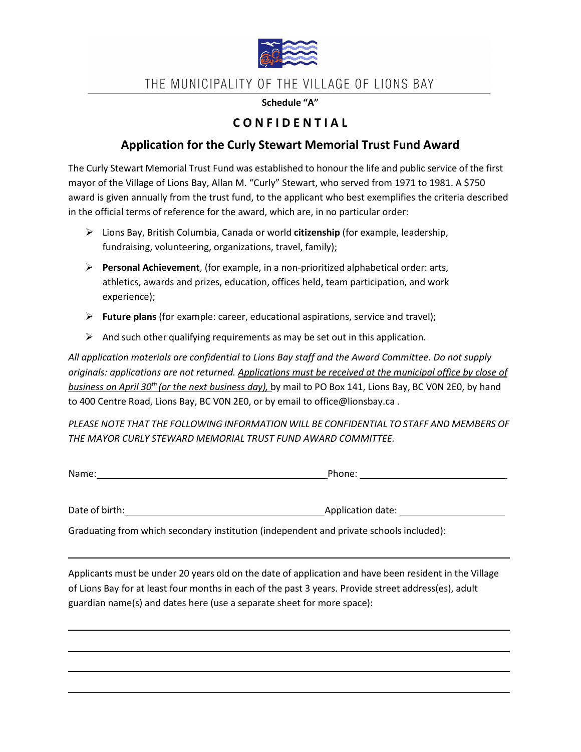

## THE MUNICIPALITY OF THE VILLAGE OF LIONS BAY

#### **Schedule "A"**

### **C O N F I D E N T I A L**

#### **Application for the Curly Stewart Memorial Trust Fund Award**

The Curly Stewart Memorial Trust Fund was established to honour the life and public service of the first mayor of the Village of Lions Bay, Allan M. "Curly" Stewart, who served from 1971 to 1981. A \$750 award is given annually from the trust fund, to the applicant who best exemplifies the criteria described in the official terms of reference for the award, which are, in no particular order:

- Lions Bay, British Columbia, Canada or world **citizenship** (for example, leadership, fundraising, volunteering, organizations, travel, family);
- **Personal Achievement**, (for example, in a non-prioritized alphabetical order: arts, athletics, awards and prizes, education, offices held, team participation, and work experience);
- **Future plans** (for example: career, educational aspirations, service and travel);
- $\triangleright$  And such other qualifying requirements as may be set out in this application.

*All application materials are confidential to Lions Bay staff and the Award Committee. Do not supply originals: applications are not returned. Applications must be received at the municipal office by close of business on April 30th (or the next business day),* by mail to PO Box 141, Lions Bay, BC V0N 2E0, by hand to 400 Centre Road, Lions Bay, BC V0N 2E0, or by email to [office@lionsbay.ca](mailto:office@lionsbay.ca) .

*PLEASE NOTE THAT THE FOLLOWING INFORMATION WILL BE CONFIDENTIAL TO STAFF AND MEMBERS OF THE MAYOR CURLY STEWARD MEMORIAL TRUST FUND AWARD COMMITTEE.*

| Name: | Phone: |  |
|-------|--------|--|
|       |        |  |

Graduating from which secondary institution (independent and private schools included):

Date of birth: Application date:

Applicants must be under 20 years old on the date of application and have been resident in the Village of Lions Bay for at least four months in each of the past 3 years. Provide street address(es), adult guardian name(s) and dates here (use a separate sheet for more space):